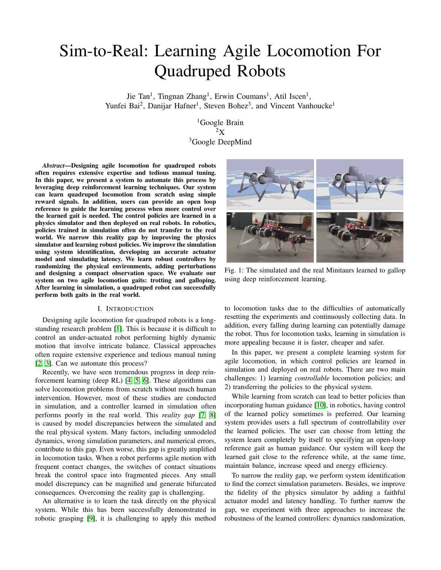# Sim-to-Real: Learning Agile Locomotion For Quadruped Robots

Jie Tan<sup>1</sup>, Tingnan Zhang<sup>1</sup>, Erwin Coumans<sup>1</sup>, Atil Iscen<sup>1</sup>, Yunfei Bai<sup>2</sup>, Danijar Hafner<sup>1</sup>, Steven Bohez<sup>3</sup>, and Vincent Vanhoucke<sup>1</sup>

> <sup>1</sup>Google Brain  ${}^{2}X$ <sup>3</sup>Google DeepMind

*Abstract*—Designing agile locomotion for quadruped robots often requires extensive expertise and tedious manual tuning. In this paper, we present a system to automate this process by leveraging deep reinforcement learning techniques. Our system can learn quadruped locomotion from scratch using simple reward signals. In addition, users can provide an open loop reference to guide the learning process when more control over the learned gait is needed. The control policies are learned in a physics simulator and then deployed on real robots. In robotics, policies trained in simulation often do not transfer to the real world. We narrow this reality gap by improving the physics simulator and learning robust policies. We improve the simulation using system identification, developing an accurate actuator model and simulating latency. We learn robust controllers by randomizing the physical environments, adding perturbations and designing a compact observation space. We evaluate our system on two agile locomotion gaits: trotting and galloping. After learning in simulation, a quadruped robot can successfully perform both gaits in the real world.

# I. INTRODUCTION

Designing agile locomotion for quadruped robots is a longstanding research problem [\[1\]](#page-8-0). This is because it is difficult to control an under-actuated robot performing highly dynamic motion that involve intricate balance. Classical approaches often require extensive experience and tedious manual tuning [\[2,](#page-8-1) [3\]](#page-8-2). Can we automate this process?

Recently, we have seen tremendous progress in deep reinforcement learning (deep RL) [\[4,](#page-8-3) [5,](#page-8-4) [6\]](#page-8-5). These algorithms can solve locomotion problems from scratch without much human intervention. However, most of these studies are conducted in simulation, and a controller learned in simulation often performs poorly in the real world. This *reality gap* [\[7,](#page-8-6) [8\]](#page-8-7) is caused by model discrepancies between the simulated and the real physical system. Many factors, including unmodeled dynamics, wrong simulation parameters, and numerical errors, contribute to this gap. Even worse, this gap is greatly amplified in locomotion tasks. When a robot performs agile motion with frequent contact changes, the switches of contact situations break the control space into fragmented pieces. Any small model discrepancy can be magnified and generate bifurcated consequences. Overcoming the reality gap is challenging.

An alternative is to learn the task directly on the physical system. While this has been successfully demonstrated in robotic grasping [\[9\]](#page-8-8), it is challenging to apply this method

<span id="page-0-0"></span>

Fig. 1: The simulated and the real Minitaurs learned to gallop using deep reinforcement learning.

to locomotion tasks due to the difficulties of automatically resetting the experiments and continuously collecting data. In addition, every falling during learning can potentially damage the robot. Thus for locomotion tasks, learning in simulation is more appealing because it is faster, cheaper and safer.

In this paper, we present a complete learning system for agile locomotion, in which control policies are learned in simulation and deployed on real robots. There are two main challenges: 1) learning *controllable* locomotion policies; and 2) transferring the policies to the physical system.

While learning from scratch can lead to better policies than incorporating human guidance [\[10\]](#page-8-9), in robotics, having control of the learned policy sometimes is preferred. Our learning system provides users a full spectrum of controllability over the learned policies. The user can choose from letting the system learn completely by itself to specifying an open-loop reference gait as human guidance. Our system will keep the learned gait close to the reference while, at the same time, maintain balance, increase speed and energy efficiency.

To narrow the reality gap, we perform system identification to find the correct simulation parameters. Besides, we improve the fidelity of the physics simulator by adding a faithful actuator model and latency handling. To further narrow the gap, we experiment with three approaches to increase the robustness of the learned controllers: dynamics randomization,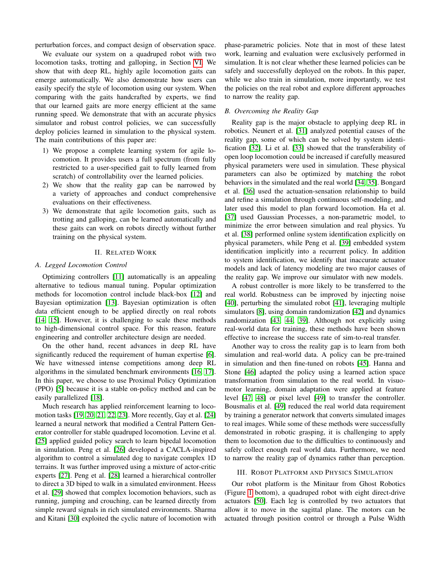perturbation forces, and compact design of observation space.

We evaluate our system on a quadruped robot with two locomotion tasks, trotting and galloping, in Section [VI.](#page-5-0) We show that with deep RL, highly agile locomotion gaits can emerge automatically. We also demonstrate how users can easily specify the style of locomotion using our system. When comparing with the gaits handcrafted by experts, we find that our learned gaits are more energy efficient at the same running speed. We demonstrate that with an accurate physics simulator and robust control policies, we can successfully deploy policies learned in simulation to the physical system. The main contributions of this paper are:

- 1) We propose a complete learning system for agile locomotion. It provides users a full spectrum (from fully restricted to a user-specified gait to fully learned from scratch) of controllability over the learned policies.
- 2) We show that the reality gap can be narrowed by a variety of approaches and conduct comprehensive evaluations on their effectiveness.
- 3) We demonstrate that agile locomotion gaits, such as trotting and galloping, can be learned automatically and these gaits can work on robots directly without further training on the physical system.

# II. RELATED WORK

#### *A. Legged Locomotion Control*

Optimizing controllers [\[11\]](#page-8-10) automatically is an appealing alternative to tedious manual tuning. Popular optimization methods for locomotion control include black-box [\[12\]](#page-8-11) and Bayesian optimization [\[13\]](#page-8-12). Bayesian optimization is often data efficient enough to be applied directly on real robots [\[14,](#page-8-13) [15\]](#page-8-14). However, it is challenging to scale these methods to high-dimensional control space. For this reason, feature engineering and controller architecture design are needed.

On the other hand, recent advances in deep RL have significantly reduced the requirement of human expertise [\[6\]](#page-8-5). We have witnessed intense competitions among deep RL algorithms in the simulated benchmark environments [\[16,](#page-8-15) [17\]](#page-8-16). In this paper, we choose to use Proximal Policy Optimization (PPO) [\[5\]](#page-8-4) because it is a stable on-policy method and can be easily parallelized [\[18\]](#page-8-17).

Much research has applied reinforcement learning to locomotion tasks [\[19,](#page-8-18) [20,](#page-8-19) [21,](#page-8-20) [22,](#page-8-21) [23\]](#page-8-22). More recently, Gay et al. [\[24\]](#page-8-23) learned a neural network that modified a Central Pattern Generator controller for stable quadruped locomotion. Levine et al. [\[25\]](#page-8-24) applied guided policy search to learn bipedal locomotion in simulation. Peng et al. [\[26\]](#page-8-25) developed a CACLA-inspired algorithm to control a simulated dog to navigate complex 1D terrains. It was further improved using a mixture of actor-critic experts [\[27\]](#page-8-26). Peng et al. [\[28\]](#page-9-0) learned a hierarchical controller to direct a 3D biped to walk in a simulated environment. Heess et al. [\[29\]](#page-9-1) showed that complex locomotion behaviors, such as running, jumping and crouching, can be learned directly from simple reward signals in rich simulated environments. Sharma and Kitani [\[30\]](#page-9-2) exploited the cyclic nature of locomotion with phase-parametric policies. Note that in most of these latest work, learning and evaluation were exclusively performed in simulation. It is not clear whether these learned policies can be safely and successfully deployed on the robots. In this paper, while we also train in simulation, more importantly, we test the policies on the real robot and explore different approaches to narrow the reality gap.

# *B. Overcoming the Reality Gap*

Reality gap is the major obstacle to applying deep RL in robotics. Neunert et al. [\[31\]](#page-9-3) analyzed potential causes of the reality gap, some of which can be solved by system identification [\[32\]](#page-9-4). Li et al. [\[33\]](#page-9-5) showed that the transferability of open loop locomotion could be increased if carefully measured physical parameters were used in simulation. These physical parameters can also be optimized by matching the robot behaviors in the simulated and the real world [\[34,](#page-9-6) [35\]](#page-9-7). Bongard et al. [\[36\]](#page-9-8) used the actuation-sensation relationship to build and refine a simulation through continuous self-modeling, and later used this model to plan forward locomotion. Ha et al. [\[37\]](#page-9-9) used Gaussian Processes, a non-parametric model, to minimize the error between simulation and real physics. Yu et al. [\[38\]](#page-9-10) performed online system identification explicitly on physical parameters, while Peng et al. [\[39\]](#page-9-11) embedded system identification implicitly into a recurrent policy. In addition to system identification, we identify that inaccurate actuator models and lack of latency modeling are two major causes of the reality gap. We improve our simulator with new models.

A robust controller is more likely to be transferred to the real world. Robustness can be improved by injecting noise [\[40\]](#page-9-12), perturbing the simulated robot [\[41\]](#page-9-13), leveraging multiple simulators [\[8\]](#page-8-7), using domain randomization [\[42\]](#page-9-14) and dynamics randomization [\[43,](#page-9-15) [44,](#page-9-16) [39\]](#page-9-11). Although not explicitly using real-world data for training, these methods have been shown effective to increase the success rate of sim-to-real transfer.

Another way to cross the reality gap is to learn from both simulation and real-world data. A policy can be pre-trained in simulation and then fine-tuned on robots [\[45\]](#page-9-17). Hanna and Stone [\[46\]](#page-9-18) adapted the policy using a learned action space transformation from simulation to the real world. In visuomotor learning, domain adaptation were applied at feature level [\[47,](#page-9-19) [48\]](#page-9-20) or pixel level [\[49\]](#page-9-21) to transfer the controller. Bousmalis et al. [\[49\]](#page-9-21) reduced the real world data requirement by training a generator network that converts simulated images to real images. While some of these methods were successfully demonstrated in robotic grasping, it is challenging to apply them to locomotion due to the difficulties to continuously and safely collect enough real world data. Furthermore, we need to narrow the reality gap of dynamics rather than perception.

#### III. ROBOT PLATFORM AND PHYSICS SIMULATION

Our robot platform is the Minitaur from Ghost Robotics (Figure [1](#page-0-0) bottom), a quadruped robot with eight direct-drive actuators [\[50\]](#page-9-22). Each leg is controlled by two actuators that allow it to move in the sagittal plane. The motors can be actuated through position control or through a Pulse Width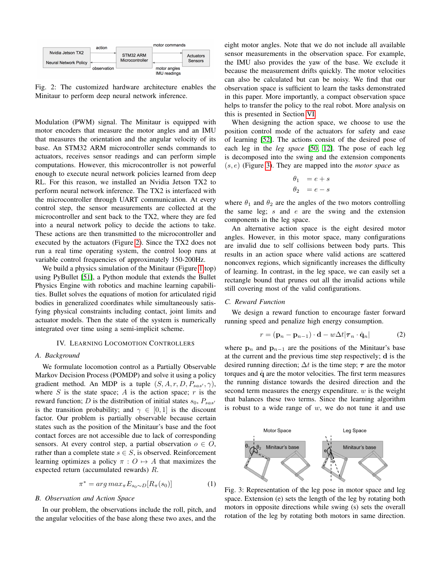<span id="page-2-0"></span>

Fig. 2: The customized hardware architecture enables the Minitaur to perform deep neural network inference.

Modulation (PWM) signal. The Minitaur is equipped with motor encoders that measure the motor angles and an IMU that measures the orientation and the angular velocity of its base. An STM32 ARM microcontroller sends commands to actuators, receives sensor readings and can perform simple computations. However, this microcontroller is not powerful enough to execute neural network policies learned from deep RL. For this reason, we installed an Nvidia Jetson TX2 to perform neural network inference. The TX2 is interfaced with the microcontroller through UART communication. At every control step, the sensor measurements are collected at the microcontroller and sent back to the TX2, where they are fed into a neural network policy to decide the actions to take. These actions are then transmitted to the microcontroller and executed by the actuators (Figure [2\)](#page-2-0). Since the TX2 does not run a real time operating system, the control loop runs at variable control frequencies of approximately 150-200Hz.

We build a physics simulation of the Minitaur (Figure [1](#page-0-0) top) using PyBullet [\[51\]](#page-9-23), a Python module that extends the Bullet Physics Engine with robotics and machine learning capabilities. Bullet solves the equations of motion for articulated rigid bodies in generalized coordinates while simultaneously satisfying physical constraints including contact, joint limits and actuator models. Then the state of the system is numerically integrated over time using a semi-implicit scheme.

# IV. LEARNING LOCOMOTION CONTROLLERS

# *A. Background*

We formulate locomotion control as a Partially Observable Markov Decision Process (POMDP) and solve it using a policy gradient method. An MDP is a tuple  $(S, A, r, D, P_{sas}, \gamma)$ , where  $S$  is the state space;  $A$  is the action space;  $r$  is the reward function; D is the distribution of initial states  $s_0$ ,  $P_{sas'}$ is the transition probability; and  $\gamma \in [0, 1]$  is the discount factor. Our problem is partially observable because certain states such as the position of the Minitaur's base and the foot contact forces are not accessible due to lack of corresponding sensors. At every control step, a partial observation  $o \in O$ , rather than a complete state  $s \in S$ , is observed. Reinforcement learning optimizes a policy  $\pi : O \mapsto A$  that maximizes the expected return (accumulated rewards) R.

$$
\pi^* = \arg\max_{\pi} E_{s_0 \sim D} [R_{\pi}(s_0)] \tag{1}
$$

# <span id="page-2-2"></span>*B. Observation and Action Space*

In our problem, the observations include the roll, pitch, and the angular velocities of the base along these two axes, and the

eight motor angles. Note that we do not include all available sensor measurements in the observation space. For example, the IMU also provides the yaw of the base. We exclude it because the measurement drifts quickly. The motor velocities can also be calculated but can be noisy. We find that our observation space is sufficient to learn the tasks demonstrated in this paper. More importantly, a compact observation space helps to transfer the policy to the real robot. More analysis on this is presented in Section [VI.](#page-5-0)

When designing the action space, we choose to use the position control mode of the actuators for safety and ease of learning [\[52\]](#page-9-24). The actions consist of the desired pose of each leg in the *leg space* [\[50,](#page-9-22) [12\]](#page-8-11). The pose of each leg is decomposed into the swing and the extension components (s, e) (Figure [3\)](#page-2-1). They are mapped into the *motor space* as

<span id="page-2-3"></span>
$$
\begin{aligned}\n\theta_1 &= e + s \\
\theta_2 &= e - s\n\end{aligned}
$$

where  $\theta_1$  and  $\theta_2$  are the angles of the two motors controlling the same leg;  $s$  and  $e$  are the swing and the extension components in the leg space.

An alternative action space is the eight desired motor angles. However, in this motor space, many configurations are invalid due to self collisions between body parts. This results in an action space where valid actions are scattered nonconvex regions, which significantly increases the difficulty of learning. In contrast, in the leg space, we can easily set a rectangle bound that prunes out all the invalid actions while still covering most of the valid configurations.

# *C. Reward Function*

We design a reward function to encourage faster forward running speed and penalize high energy consumption.

$$
r = (\mathbf{p}_n - \mathbf{p}_{n-1}) \cdot \mathbf{d} - w\Delta t | \boldsymbol{\tau}_n \cdot \dot{\mathbf{q}}_n | \tag{2}
$$

where  $p_n$  and  $p_{n-1}$  are the positions of the Minitaur's base at the current and the previous time step respectively; d is the desired running direction;  $\Delta t$  is the time step;  $\tau$  are the motor torques and  $\dot{q}$  are the motor velocities. The first term measures the running distance towards the desired direction and the second term measures the energy expenditure.  $w$  is the weight that balances these two terms. Since the learning algorithm is robust to a wide range of  $w$ , we do not tune it and use

<span id="page-2-1"></span>

Fig. 3: Representation of the leg pose in motor space and leg space. Extension (e) sets the length of the leg by rotating both motors in opposite directions while swing (s) sets the overall rotation of the leg by rotating both motors in same direction.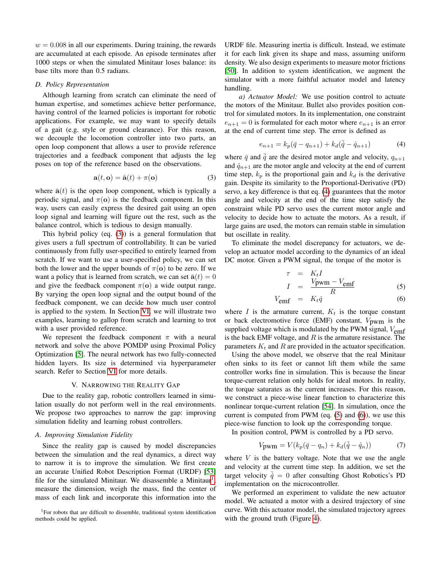$w = 0.008$  in all our experiments. During training, the rewards are accumulated at each episode. An episode terminates after 1000 steps or when the simulated Minitaur loses balance: its base tilts more than 0.5 radians.

### *D. Policy Representation*

Although learning from scratch can eliminate the need of human expertise, and sometimes achieve better performance, having control of the learned policies is important for robotic applications. For example, we may want to specify details of a gait (e.g. style or ground clearance). For this reason, we decouple the locomotion controller into two parts, an open loop component that allows a user to provide reference trajectories and a feedback component that adjusts the leg poses on top of the reference based on the observations.

<span id="page-3-0"></span>
$$
\mathbf{a}(t, \mathbf{o}) = \bar{\mathbf{a}}(t) + \pi(\mathbf{o})
$$
 (3)

where  $\bar{a}(t)$  is the open loop component, which is typically a periodic signal, and  $\pi(\mathbf{o})$  is the feedback component. In this way, users can easily express the desired gait using an open loop signal and learning will figure out the rest, such as the balance control, which is tedious to design manually.

This hybrid policy (eq. [\(3\)](#page-3-0)) is a general formulation that gives users a full spectrum of controllability. It can be varied continuously from fully user-specified to entirely learned from scratch. If we want to use a user-specified policy, we can set both the lower and the upper bounds of  $\pi(\mathbf{o})$  to be zero. If we want a policy that is learned from scratch, we can set  $\bar{\mathbf{a}}(t) = 0$ and give the feedback component  $\pi(\mathbf{o})$  a wide output range. By varying the open loop signal and the output bound of the feedback component, we can decide how much user control is applied to the system. In Section [VI,](#page-5-0) we will illustrate two examples, learning to gallop from scratch and learning to trot with a user provided reference.

We represent the feedback component  $\pi$  with a neural network and solve the above POMDP using Proximal Policy Optimization [\[5\]](#page-8-4). The neural network has two fully-connected hidden layers. Its size is determined via hyperparameter search. Refer to Section [VI](#page-5-0) for more details.

## V. NARROWING THE REALITY GAP

Due to the reality gap, robotic controllers learned in simulation usually do not perform well in the real environments. We propose two approaches to narrow the gap: improving simulation fidelity and learning robust controllers.

# <span id="page-3-4"></span>*A. Improving Simulation Fidelity*

Since the reality gap is caused by model discrepancies between the simulation and the real dynamics, a direct way to narrow it is to improve the simulation. We first create an accurate Unified Robot Description Format (URDF) [\[53\]](#page-10-0) file for the simulated Minitaur. We disassemble a Minitaur<sup>[1](#page-3-1)</sup>, measure the dimension, weigh the mass, find the center of mass of each link and incorporate this information into the

<span id="page-3-1"></span><sup>1</sup>For robots that are difficult to dissemble, traditional system identification methods could be applied.

URDF file. Measuring inertia is difficult. Instead, we estimate it for each link given its shape and mass, assuming uniform density. We also design experiments to measure motor frictions [\[50\]](#page-9-22). In addition to system identification, we augment the simulator with a more faithful actuator model and latency handling.

*a) Actuator Model:* We use position control to actuate the motors of the Minitaur. Bullet also provides position control for simulated motors. In its implementation, one constraint  $e_{n+1} = 0$  is formulated for each motor where  $e_{n+1}$  is an error at the end of current time step. The error is defined as

<span id="page-3-2"></span>
$$
e_{n+1} = k_p(\bar{q} - q_{n+1}) + k_d(\bar{q} - \dot{q}_{n+1})
$$
 (4)

where  $\bar{q}$  and  $\dot{q}$  are the desired motor angle and velocity,  $q_{n+1}$ and  $\dot{q}_{n+1}$  are the motor angle and velocity at the end of current time step,  $k_p$  is the proportional gain and  $k_d$  is the derivative gain. Despite its similarity to the Proportional-Derivative (PD) servo, a key difference is that eq. [\(4\)](#page-3-2) guarantees that the motor angle and velocity at the end of the time step satisfy the constraint while PD servo uses the current motor angle and velocity to decide how to actuate the motors. As a result, if large gains are used, the motors can remain stable in simulation but oscillate in reality.

To eliminate the model discrepancy for actuators, we develop an actuator model according to the dynamics of an ideal DC motor. Given a PWM signal, the torque of the motor is

<span id="page-3-3"></span>
$$
\tau = K_t I
$$
  
\n
$$
I = \frac{V_{\text{pwm}} - V_{\text{emf}}}{R}
$$
 (5)

$$
V_{\text{emf}} = K_t \dot{q} \tag{6}
$$

where  $I$  is the armature current,  $K_t$  is the torque constant or back electromotive force (EMF) constant,  $V_{\text{pwm}}$  is the supplied voltage which is modulated by the PWM signal,  $V_{emf}$ is the back EMF voltage, and  $R$  is the armature resistance. The parameters  $K_t$  and R are provided in the actuator specification.

Using the above model, we observe that the real Minitaur often sinks to its feet or cannot lift them while the same controller works fine in simulation. This is because the linear torque-current relation only holds for ideal motors. In reality, the torque saturates as the current increases. For this reason, we construct a piece-wise linear function to characterize this nonlinear torque-current relation [\[54\]](#page-10-1). In simulation, once the current is computed from PWM (eq. [\(5\)](#page-3-3) and [\(6\)](#page-3-3)), we use this piece-wise function to look up the corresponding torque.

In position control, PWM is controlled by a PD servo.

$$
Vpwm = V(kp(\bar{q} - qn) + kd(\bar{q} - \dot{q}n))
$$
 (7)

where  $V$  is the battery voltage. Note that we use the angle and velocity at the current time step. In addition, we set the target velocity  $\overline{\dot{q}} = 0$  after consulting Ghost Robotics's PD implementation on the microcontroller.

We performed an experiment to validate the new actuator model. We actuated a motor with a desired trajectory of sine curve. With this actuator model, the simulated trajectory agrees with the ground truth (Figure [4\)](#page-4-0).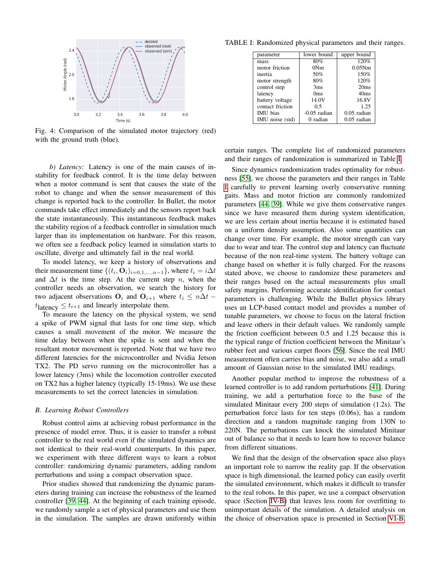<span id="page-4-0"></span>

Fig. 4: Comparison of the simulated motor trajectory (red) with the ground truth (blue).

*b) Latency:* Latency is one of the main causes of instability for feedback control. It is the time delay between when a motor command is sent that causes the state of the robot to change and when the sensor measurement of this change is reported back to the controller. In Bullet, the motor commands take effect immediately and the sensors report back the state instantaneously. This instantaneous feedback makes the stability region of a feedback controller in simulation much larger than its implementation on hardware. For this reason, we often see a feedback policy learned in simulation starts to oscillate, diverge and ultimately fail in the real world.

To model latency, we keep a history of observations and their measurement time  $\{(t_i, \mathbf{O}_i)_{i=0,1,\dots,n-1}\}$ , where  $t_i = i\Delta t$ and  $\Delta t$  is the time step. At the current step n, when the controller needs an observation, we search the history for two adjacent observations  $O_i$  and  $O_{i+1}$  where  $t_i \leq n\Delta t$  −  $t_{\text{latency}} \leq t_{i+1}$  and linearly interpolate them.

To measure the latency on the physical system, we send a spike of PWM signal that lasts for one time step, which causes a small movement of the motor. We measure the time delay between when the spike is sent and when the resultant motor movement is reported. Note that we have two different latencies for the microcontroller and Nvidia Jetson TX2. The PD servo running on the microcontroller has a lower latency (3ms) while the locomotion controller executed on TX2 has a higher latency (typically 15-19ms). We use these measurements to set the correct latencies in simulation.

#### <span id="page-4-2"></span>*B. Learning Robust Controllers*

Robust control aims at achieving robust performance in the presence of model error. Thus, it is easier to transfer a robust controller to the real world even if the simulated dynamics are not identical to their real-world counterparts. In this paper, we experiment with three different ways to learn a robust controller: randomizing dynamic parameters, adding random perturbations and using a compact observation space.

Prior studies showed that randomizing the dynamic parameters during training can increase the robustness of the learned controller [\[39,](#page-9-11) [44\]](#page-9-16). At the beginning of each training episode, we randomly sample a set of physical parameters and use them in the simulation. The samples are drawn uniformly within

<span id="page-4-1"></span>TABLE I: Randomized physical parameters and their ranges.

| parameter        | lower bound     | upper bound   |
|------------------|-----------------|---------------|
| mass             | 80%             | 120%          |
| motor friction   | 0Nm             | 0.05Nm        |
| inertia          | 50%             | 150%          |
| motor strength   | 80%             | 120%          |
| control step     | 3 <sub>ms</sub> | 20ms          |
| latency          | 0 <sub>ms</sub> | 40ms          |
| battery voltage  | 14.0V           | 16.8V         |
| contact friction | 0.5             | 1.25          |
| <b>IMU</b> bias  | $-0.05$ radian  | $0.05$ radian |
| IMU noise (std)  | 0 radian        | $0.05$ radian |
|                  |                 |               |

certain ranges. The complete list of randomized parameters and their ranges of randomization is summarized in Table [I.](#page-4-1)

Since dynamics randomization trades optimality for robustness [\[55\]](#page-10-2), we choose the parameters and their ranges in Table [I](#page-4-1) carefully to prevent learning overly conservative running gaits. Mass and motor friction are commonly randomized parameters [\[44,](#page-9-16) [39\]](#page-9-11). While we give them conservative ranges since we have measured them during system identification, we are less certain about inertia because it is estimated based on a uniform density assumption. Also some quantities can change over time. For example, the motor strength can vary due to wear and tear. The control step and latency can fluctuate because of the non real-time system. The battery voltage can change based on whether it is fully charged. For the reasons stated above, we choose to randomize these parameters and their ranges based on the actual measurements plus small safety margins. Performing accurate identification for contact parameters is challenging. While the Bullet physics library uses an LCP-based contact model and provides a number of tunable parameters, we choose to focus on the lateral friction and leave others in their default values. We randomly sample the friction coefficient between 0.5 and 1.25 because this is the typical range of friction coefficient between the Minitaur's rubber feet and various carpet floors [\[56\]](#page-10-3). Since the real IMU measurement often carries bias and noise, we also add a small amount of Gaussian noise to the simulated IMU readings.

Another popular method to improve the robustness of a learned controller is to add random perturbations [\[41\]](#page-9-13). During training, we add a perturbation force to the base of the simulated Minitaur every 200 steps of simulation (1.2s). The perturbation force lasts for ten steps (0.06s), has a random direction and a random magnitude ranging from 130N to 220N. The perturbations can knock the simulated Minitaur out of balance so that it needs to learn how to recover balance from different situations.

We find that the design of the observation space also plays an important role to narrow the reality gap. If the observation space is high dimensional, the learned policy can easily overfit the simulated environment, which makes it difficult to transfer to the real robots. In this paper, we use a compact observation space (Section [IV-B\)](#page-2-2) that leaves less room for overfitting to unimportant details of the simulation. A detailed analysis on the choice of observation space is presented in Section [VI-B.](#page-6-0)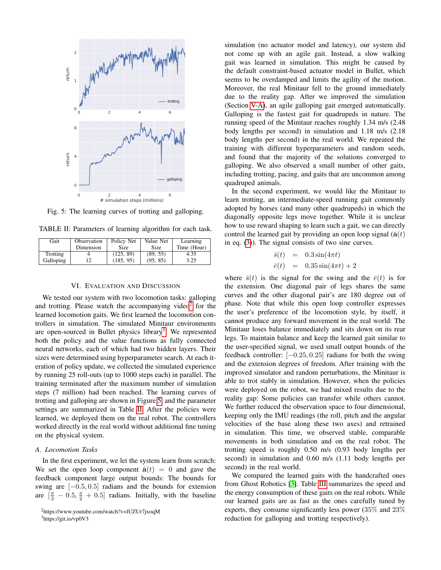<span id="page-5-3"></span>

Fig. 5: The learning curves of trotting and galloping.

<span id="page-5-4"></span>TABLE II: Parameters of learning algorithm for each task.

| Gait      | Observation | Policy Net | Value Net | Learning    |
|-----------|-------------|------------|-----------|-------------|
|           | Dimension   | Size       | Size      | Time (Hour) |
| Trotting  |             | (125, 89)  | (89, 55)  | 4.35        |
| Galloping | 12          | (185, 95)  | (95, 85)  | 3.25        |

# VI. EVALUATION AND DISCUSSION

<span id="page-5-0"></span>We tested our system with two locomotion tasks: galloping and trotting. Please watch the accompanying video<sup>[2](#page-5-1)</sup> for the learned locomotion gaits. We first learned the locomotion controllers in simulation. The simulated Minitaur environments are open-sourced in Bullet physics library<sup>[3](#page-5-2)</sup>. We represented both the policy and the value functions as fully connected neural networks, each of which had two hidden layers. Their sizes were determined using hyperparameter search. At each iteration of policy update, we collected the simulated experience by running 25 roll-outs (up to 1000 steps each) in parallel. The training terminated after the maximum number of simulation steps (7 million) had been reached. The learning curves of trotting and galloping are shown in Figure [5,](#page-5-3) and the parameter settings are summarized in Table [II.](#page-5-4) After the policies were learned, we deployed them on the real robot. The controllers worked directly in the real world without additional fine tuning on the physical system.

## *A. Locomotion Tasks*

In the first experiment, we let the system learn from scratch: We set the open loop component  $\bar{a}(t) = 0$  and gave the feedback component large output bounds: The bounds for swing are  $[-0.5, 0.5]$  radians and the bounds for extension are  $\left[\frac{\pi}{2} - 0.5, \frac{\pi}{2} + 0.5\right]$  radians. Initially, with the baseline

<span id="page-5-2"></span><sup>3</sup>https://git.io/vp0V3

simulation (no actuator model and latency), our system did not come up with an agile gait. Instead, a slow walking gait was learned in simulation. This might be caused by the default constraint-based actuator model in Bullet, which seems to be overdamped and limits the agility of the motion. Moreover, the real Minitaur fell to the ground immediately due to the reality gap. After we improved the simulation (Section [V-A\)](#page-3-4), an agile galloping gait emerged automatically. Galloping is the fastest gait for quadrupeds in nature. The running speed of the Minitaur reaches roughly 1.34 m/s (2.48 body lengths per second) in simulation and 1.18 m/s (2.18 body lengths per second) in the real world. We repeated the training with different hyperparameters and random seeds, and found that the majority of the solutions converged to galloping. We also observed a small number of other gaits, including trotting, pacing, and gaits that are uncommon among quadruped animals.

In the second experiment, we would like the Minitaur to learn trotting, an intermediate-speed running gait commonly adopted by horses (and many other quadrupeds) in which the diagonally opposite legs move together. While it is unclear how to use reward shaping to learn such a gait, we can directly control the learned gait by providing an open loop signal ( $\bar{a}(t)$ ) in eq. [\(3\)](#page-3-0)). The signal consists of two sine curves.

$$
\begin{array}{rcl}\n\bar{s}(t) & = & 0.3 \sin(4\pi t) \\
\bar{e}(t) & = & 0.35 \sin(4\pi t) + 2\n\end{array}
$$

where  $\bar{s}(t)$  is the signal for the swing and the  $\bar{e}(t)$  is for the extension. One diagonal pair of legs shares the same curves and the other diagonal pair's are 180 degree out of phase. Note that while this open loop controller expresses the user's preference of the locomotion style, by itself, it cannot produce any forward movement in the real world: The Minitaur loses balance immediately and sits down on its rear legs. To maintain balance and keep the learned gait similar to the user-specified signal, we used small output bounds of the feedback controller:  $[-0.25, 0.25]$  radians for both the swing and the extension degrees of freedom. After training with the improved simulator and random perturbations, the Minitaur is able to trot stably in simulation. However, when the policies were deployed on the robot, we had mixed results due to the reality gap: Some policies can transfer while others cannot. We further reduced the observation space to four dimensional, keeping only the IMU readings (the roll, pitch and the angular velocities of the base along these two axes) and retrained in simulation. This time, we observed stable, comparable movements in both simulation and on the real robot. The trotting speed is roughly 0.50 m/s (0.93 body lengths per second) in simulation and 0.60 m/s (1.11 body lengths per second) in the real world.

We compared the learned gaits with the handcrafted ones from Ghost Robotics [\[3\]](#page-8-2). Table [III](#page-6-1) summarizes the speed and the energy consumption of these gaits on the real robots. While our learned gaits are as fast as the ones carefully tuned by experts, they consume significantly less power (35% and 23% reduction for galloping and trotting respectively).

<span id="page-5-1"></span><sup>2</sup>https://www.youtube.com/watch?v=lUZUr7jxoqM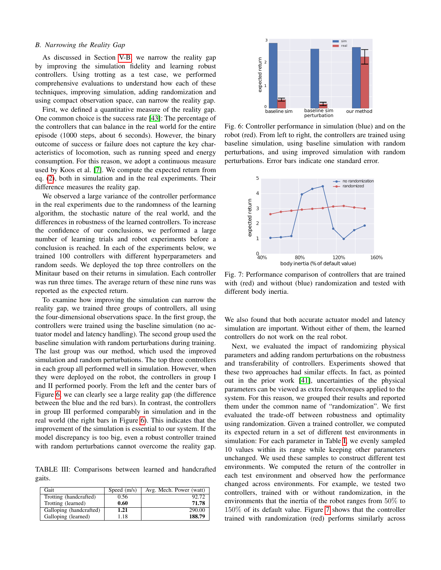## <span id="page-6-0"></span>*B. Narrowing the Reality Gap*

As discussed in Section [V-B,](#page-4-2) we narrow the reality gap by improving the simulation fidelity and learning robust controllers. Using trotting as a test case, we performed comprehensive evaluations to understand how each of these techniques, improving simulation, adding randomization and using compact observation space, can narrow the reality gap.

First, we defined a quantitative measure of the reality gap. One common choice is the success rate [\[43\]](#page-9-15): The percentage of the controllers that can balance in the real world for the entire episode (1000 steps, about 6 seconds). However, the binary outcome of success or failure does not capture the key characteristics of locomotion, such as running speed and energy consumption. For this reason, we adopt a continuous measure used by Koos et al. [\[7\]](#page-8-6). We compute the expected return from eq. [\(2\)](#page-2-3), both in simulation and in the real experiments. Their difference measures the reality gap.

We observed a large variance of the controller performance in the real experiments due to the randomness of the learning algorithm, the stochastic nature of the real world, and the differences in robustness of the learned controllers. To increase the confidence of our conclusions, we performed a large number of learning trials and robot experiments before a conclusion is reached. In each of the experiments below, we trained 100 controllers with different hyperparameters and random seeds. We deployed the top three controllers on the Minitaur based on their returns in simulation. Each controller was run three times. The average return of these nine runs was reported as the expected return.

To examine how improving the simulation can narrow the reality gap, we trained three groups of controllers, all using the four-dimensional observations space. In the first group, the controllers were trained using the baseline simulation (no actuator model and latency handling). The second group used the baseline simulation with random perturbations during training. The last group was our method, which used the improved simulation and random perturbations. The top three controllers in each group all performed well in simulation. However, when they were deployed on the robot, the controllers in group I and II performed poorly. From the left and the center bars of Figure [6,](#page-6-2) we can clearly see a large reality gap (the difference between the blue and the red bars). In contrast, the controllers in group III performed comparably in simulation and in the real world (the right bars in Figure [6\)](#page-6-2). This indicates that the improvement of the simulation is essential to our system. If the model discrepancy is too big, even a robust controller trained with random perturbations cannot overcome the reality gap.

<span id="page-6-1"></span>TABLE III: Comparisons between learned and handcrafted gaits.

| Gait                    | Speed $(m/s)$ | Avg. Mech. Power (watt) |
|-------------------------|---------------|-------------------------|
| Trotting (handcrafted)  | 0.56          | 92.72                   |
| Trotting (learned)      | 0.60          | 71.78                   |
| Galloping (handcrafted) | 1.21          | 290.00                  |
| Galloping (learned)     | 1.18          | 188.79                  |

<span id="page-6-2"></span>

Fig. 6: Controller performance in simulation (blue) and on the robot (red). From left to right, the controllers are trained using baseline simulation, using baseline simulation with random perturbations, and using improved simulation with random perturbations. Error bars indicate one standard error.

<span id="page-6-3"></span>

Fig. 7: Performance comparison of controllers that are trained with (red) and without (blue) randomization and tested with different body inertia.

We also found that both accurate actuator model and latency simulation are important. Without either of them, the learned controllers do not work on the real robot.

Next, we evaluated the impact of randomizing physical parameters and adding random perturbations on the robustness and transferability of controllers. Experiments showed that these two approaches had similar effects. In fact, as pointed out in the prior work [\[41\]](#page-9-13), uncertainties of the physical parameters can be viewed as extra forces/torques applied to the system. For this reason, we grouped their results and reported them under the common name of "randomization". We first evaluated the trade-off between robustness and optimality using randomization. Given a trained controller, we computed its expected return in a set of different test environments in simulation: For each parameter in Table [I,](#page-4-1) we evenly sampled 10 values within its range while keeping other parameters unchanged. We used these samples to construct different test environments. We computed the return of the controller in each test environment and observed how the performance changed across environments. For example, we tested two controllers, trained with or without randomization, in the environments that the inertia of the robot ranges from 50% to 150% of its default value. Figure [7](#page-6-3) shows that the controller trained with randomization (red) performs similarly across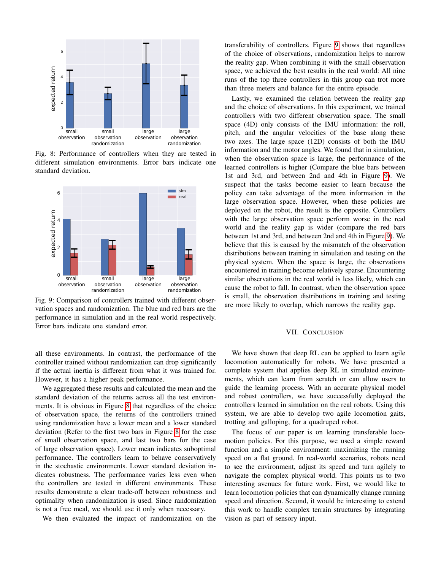<span id="page-7-0"></span>

Fig. 8: Performance of controllers when they are tested in different simulation environments. Error bars indicate one standard deviation.

<span id="page-7-1"></span>

Fig. 9: Comparison of controllers trained with different observation spaces and randomization. The blue and red bars are the performance in simulation and in the real world respectively. Error bars indicate one standard error.

all these environments. In contrast, the performance of the controller trained without randomization can drop significantly if the actual inertia is different from what it was trained for. However, it has a higher peak performance.

We aggregated these results and calculated the mean and the standard deviation of the returns across all the test environments. It is obvious in Figure [8](#page-7-0) that regardless of the choice of observation space, the returns of the controllers trained using randomization have a lower mean and a lower standard deviation (Refer to the first two bars in Figure [8](#page-7-0) for the case of small observation space, and last two bars for the case of large observation space). Lower mean indicates suboptimal performance. The controllers learn to behave conservatively in the stochastic environments. Lower standard deviation indicates robustness. The performance varies less even when the controllers are tested in different environments. These results demonstrate a clear trade-off between robustness and optimality when randomization is used. Since randomization is not a free meal, we should use it only when necessary.

We then evaluated the impact of randomization on the

transferability of controllers. Figure [9](#page-7-1) shows that regardless of the choice of observations, randomization helps to narrow the reality gap. When combining it with the small observation space, we achieved the best results in the real world: All nine runs of the top three controllers in this group can trot more than three meters and balance for the entire episode.

Lastly, we examined the relation between the reality gap and the choice of observations. In this experiment, we trained controllers with two different observation space. The small space (4D) only consists of the IMU information: the roll, pitch, and the angular velocities of the base along these two axes. The large space (12D) consists of both the IMU information and the motor angles. We found that in simulation, when the observation space is large, the performance of the learned controllers is higher (Compare the blue bars between 1st and 3rd, and between 2nd and 4th in Figure [9\)](#page-7-1). We suspect that the tasks become easier to learn because the policy can take advantage of the more information in the large observation space. However, when these policies are deployed on the robot, the result is the opposite. Controllers with the large observation space perform worse in the real world and the reality gap is wider (compare the red bars between 1st and 3rd, and between 2nd and 4th in Figure [9\)](#page-7-1). We believe that this is caused by the mismatch of the observation distributions between training in simulation and testing on the physical system. When the space is large, the observations encountered in training become relatively sparse. Encountering similar observations in the real world is less likely, which can cause the robot to fall. In contrast, when the observation space is small, the observation distributions in training and testing are more likely to overlap, which narrows the reality gap.

## VII. CONCLUSION

We have shown that deep RL can be applied to learn agile locomotion automatically for robots. We have presented a complete system that applies deep RL in simulated environments, which can learn from scratch or can allow users to guide the learning process. With an accurate physical model and robust controllers, we have successfully deployed the controllers learned in simulation on the real robots. Using this system, we are able to develop two agile locomotion gaits, trotting and galloping, for a quadruped robot.

The focus of our paper is on learning transferable locomotion policies. For this purpose, we used a simple reward function and a simple environment: maximizing the running speed on a flat ground. In real-world scenarios, robots need to see the environment, adjust its speed and turn agilely to navigate the complex physical world. This points us to two interesting avenues for future work. First, we would like to learn locomotion policies that can dynamically change running speed and direction. Second, it would be interesting to extend this work to handle complex terrain structures by integrating vision as part of sensory input.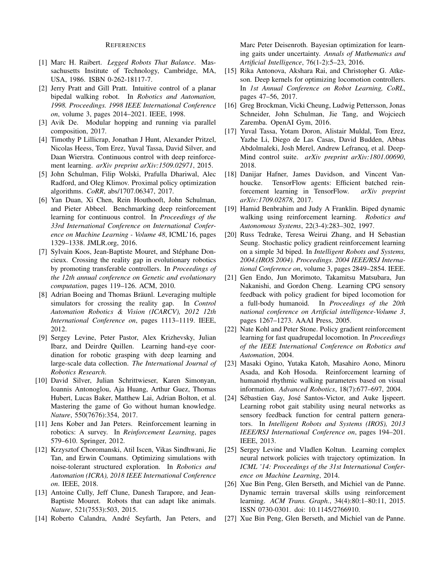## REFERENCES

- <span id="page-8-0"></span>[1] Marc H. Raibert. *Legged Robots That Balance*. Massachusetts Institute of Technology, Cambridge, MA, USA, 1986. ISBN 0-262-18117-7.
- <span id="page-8-1"></span>[2] Jerry Pratt and Gill Pratt. Intuitive control of a planar bipedal walking robot. In *Robotics and Automation, 1998. Proceedings. 1998 IEEE International Conference on*, volume 3, pages 2014–2021. IEEE, 1998.
- <span id="page-8-2"></span>[3] Avik De. Modular hopping and running via parallel composition, 2017.
- <span id="page-8-3"></span>[4] Timothy P Lillicrap, Jonathan J Hunt, Alexander Pritzel, Nicolas Heess, Tom Erez, Yuval Tassa, David Silver, and Daan Wierstra. Continuous control with deep reinforcement learning. *arXiv preprint arXiv:1509.02971*, 2015.
- <span id="page-8-4"></span>[5] John Schulman, Filip Wolski, Prafulla Dhariwal, Alec Radford, and Oleg Klimov. Proximal policy optimization algorithms. *CoRR*, abs/1707.06347, 2017.
- <span id="page-8-5"></span>[6] Yan Duan, Xi Chen, Rein Houthooft, John Schulman, and Pieter Abbeel. Benchmarking deep reinforcement learning for continuous control. In *Proceedings of the 33rd International Conference on International Conference on Machine Learning - Volume 48*, ICML'16, pages 1329–1338. JMLR.org, 2016.
- <span id="page-8-6"></span>[7] Sylvain Koos, Jean-Baptiste Mouret, and Stéphane Doncieux. Crossing the reality gap in evolutionary robotics by promoting transferable controllers. In *Proceedings of the 12th annual conference on Genetic and evolutionary computation*, pages 119–126. ACM, 2010.
- <span id="page-8-7"></span>[8] Adrian Boeing and Thomas Bräunl. Leveraging multiple simulators for crossing the reality gap. In *Control Automation Robotics & Vision (ICARCV), 2012 12th International Conference on*, pages 1113–1119. IEEE, 2012.
- <span id="page-8-8"></span>[9] Sergey Levine, Peter Pastor, Alex Krizhevsky, Julian Ibarz, and Deirdre Quillen. Learning hand-eye coordination for robotic grasping with deep learning and large-scale data collection. *The International Journal of Robotics Research*.
- <span id="page-8-9"></span>[10] David Silver, Julian Schrittwieser, Karen Simonyan, Ioannis Antonoglou, Aja Huang, Arthur Guez, Thomas Hubert, Lucas Baker, Matthew Lai, Adrian Bolton, et al. Mastering the game of Go without human knowledge. *Nature*, 550(7676):354, 2017.
- <span id="page-8-10"></span>[11] Jens Kober and Jan Peters. Reinforcement learning in robotics: A survey. In *Reinforcement Learning*, pages 579–610. Springer, 2012.
- <span id="page-8-11"></span>[12] Krzysztof Choromanski, Atil Iscen, Vikas Sindhwani, Jie Tan, and Erwin Coumans. Optimizing simulations with noise-tolerant structured exploration. In *Robotics and Automation (ICRA), 2018 IEEE International Conference on*. IEEE, 2018.
- <span id="page-8-12"></span>[13] Antoine Cully, Jeff Clune, Danesh Tarapore, and Jean-Baptiste Mouret. Robots that can adapt like animals. *Nature*, 521(7553):503, 2015.
- <span id="page-8-13"></span>[14] Roberto Calandra, André Seyfarth, Jan Peters, and

Marc Peter Deisenroth. Bayesian optimization for learning gaits under uncertainty. *Annals of Mathematics and Artificial Intelligence*, 76(1-2):5–23, 2016.

- <span id="page-8-14"></span>[15] Rika Antonova, Akshara Rai, and Christopher G. Atkeson. Deep kernels for optimizing locomotion controllers. In *1st Annual Conference on Robot Learning, CoRL*, pages 47–56, 2017.
- <span id="page-8-15"></span>[16] Greg Brockman, Vicki Cheung, Ludwig Pettersson, Jonas Schneider, John Schulman, Jie Tang, and Wojciech Zaremba. OpenAI Gym, 2016.
- <span id="page-8-16"></span>[17] Yuval Tassa, Yotam Doron, Alistair Muldal, Tom Erez, Yazhe Li, Diego de Las Casas, David Budden, Abbas Abdolmaleki, Josh Merel, Andrew Lefrancq, et al. Deep-Mind control suite. *arXiv preprint arXiv:1801.00690*, 2018.
- <span id="page-8-17"></span>[18] Danijar Hafner, James Davidson, and Vincent Vanhoucke. TensorFlow agents: Efficient batched reinforcement learning in TensorFlow. *arXiv preprint arXiv:1709.02878*, 2017.
- <span id="page-8-18"></span>[19] Hamid Benbrahim and Judy A Franklin. Biped dynamic walking using reinforcement learning. *Robotics and Autonomous Systems*, 22(3-4):283–302, 1997.
- <span id="page-8-19"></span>[20] Russ Tedrake, Teresa Weirui Zhang, and H Sebastian Seung. Stochastic policy gradient reinforcement learning on a simple 3d biped. In *Intelligent Robots and Systems, 2004.(IROS 2004). Proceedings. 2004 IEEE/RSJ International Conference on*, volume 3, pages 2849–2854. IEEE.
- <span id="page-8-20"></span>[21] Gen Endo, Jun Morimoto, Takamitsu Matsubara, Jun Nakanishi, and Gordon Cheng. Learning CPG sensory feedback with policy gradient for biped locomotion for a full-body humanoid. In *Proceedings of the 20th national conference on Artificial intelligence-Volume 3*, pages 1267–1273. AAAI Press, 2005.
- <span id="page-8-21"></span>[22] Nate Kohl and Peter Stone. Policy gradient reinforcement learning for fast quadrupedal locomotion. In *Proceedings of the IEEE International Conference on Robotics and Automation*, 2004.
- <span id="page-8-22"></span>[23] Masaki Ogino, Yutaka Katoh, Masahiro Aono, Minoru Asada, and Koh Hosoda. Reinforcement learning of humanoid rhythmic walking parameters based on visual information. *Advanced Robotics*, 18(7):677–697, 2004.
- <span id="page-8-23"></span>[24] Sébastien Gay, José Santos-Victor, and Auke Ijspeert. Learning robot gait stability using neural networks as sensory feedback function for central pattern generators. In *Intelligent Robots and Systems (IROS), 2013 IEEE/RSJ International Conference on*, pages 194–201. IEEE, 2013.
- <span id="page-8-24"></span>[25] Sergey Levine and Vladlen Koltun. Learning complex neural network policies with trajectory optimization. In *ICML '14: Proceedings of the 31st International Conference on Machine Learning*, 2014.
- <span id="page-8-25"></span>[26] Xue Bin Peng, Glen Berseth, and Michiel van de Panne. Dynamic terrain traversal skills using reinforcement learning. *ACM Trans. Graph.*, 34(4):80:1–80:11, 2015. ISSN 0730-0301. doi: 10.1145/2766910.
- <span id="page-8-26"></span>[27] Xue Bin Peng, Glen Berseth, and Michiel van de Panne.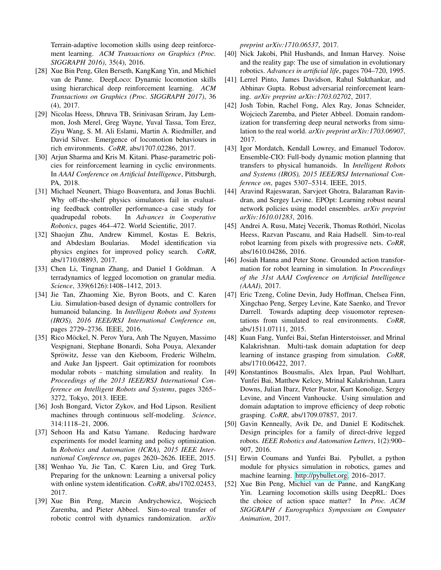Terrain-adaptive locomotion skills using deep reinforcement learning. *ACM Transactions on Graphics (Proc. SIGGRAPH 2016)*, 35(4), 2016.

- <span id="page-9-0"></span>[28] Xue Bin Peng, Glen Berseth, KangKang Yin, and Michiel van de Panne. DeepLoco: Dynamic locomotion skills using hierarchical deep reinforcement learning. *ACM Transactions on Graphics (Proc. SIGGRAPH 2017)*, 36 (4), 2017.
- <span id="page-9-1"></span>[29] Nicolas Heess, Dhruva TB, Srinivasan Sriram, Jay Lemmon, Josh Merel, Greg Wayne, Yuval Tassa, Tom Erez, Ziyu Wang, S. M. Ali Eslami, Martin A. Riedmiller, and David Silver. Emergence of locomotion behaviours in rich environments. *CoRR*, abs/1707.02286, 2017.
- <span id="page-9-2"></span>[30] Arjun Sharma and Kris M. Kitani. Phase-parametric policies for reinforcement learning in cyclic environments. In *AAAI Conference on Artificial Intelligence*, Pittsburgh, PA, 2018.
- <span id="page-9-3"></span>[31] Michael Neunert, Thiago Boaventura, and Jonas Buchli. Why off-the-shelf physics simulators fail in evaluating feedback controller performance-a case study for quadrupedal robots. In *Advances in Cooperative Robotics*, pages 464–472. World Scientific, 2017.
- <span id="page-9-4"></span>[32] Shaojun Zhu, Andrew Kimmel, Kostas E. Bekris, and Abdeslam Boularias. Model identification via physics engines for improved policy search. *CoRR*, abs/1710.08893, 2017.
- <span id="page-9-5"></span>[33] Chen Li, Tingnan Zhang, and Daniel I Goldman. A terradynamics of legged locomotion on granular media. *Science*, 339(6126):1408–1412, 2013.
- <span id="page-9-6"></span>[34] Jie Tan, Zhaoming Xie, Byron Boots, and C. Karen Liu. Simulation-based design of dynamic controllers for humanoid balancing. In *Intelligent Robots and Systems (IROS), 2016 IEEE/RSJ International Conference on*, pages 2729–2736. IEEE, 2016.
- <span id="page-9-7"></span>[35] Rico Möckel, N. Perov Yura, Anh The Nguyen, Massimo Vespignani, Stephane Bonardi, Soha Pouya, Alexander Spröwitz, Jesse van den Kieboom, Frederic Wilhelm, and Auke Jan Ijspeert. Gait optimization for roombots modular robots - matching simulation and reality. In *Proceedings of the 2013 IEEE/RSJ International Conference on Intelligent Robots and Systems*, pages 3265– 3272, Tokyo, 2013. IEEE.
- <span id="page-9-8"></span>[36] Josh Bongard, Victor Zykov, and Hod Lipson. Resilient machines through continuous self-modeling. *Science*, 314:1118–21, 2006.
- <span id="page-9-9"></span>[37] Sehoon Ha and Katsu Yamane. Reducing hardware experiments for model learning and policy optimization. In *Robotics and Automation (ICRA), 2015 IEEE International Conference on*, pages 2620–2626. IEEE, 2015.
- <span id="page-9-10"></span>[38] Wenhao Yu, Jie Tan, C. Karen Liu, and Greg Turk. Preparing for the unknown: Learning a universal policy with online system identification. *CoRR*, abs/1702.02453, 2017.
- <span id="page-9-11"></span>[39] Xue Bin Peng, Marcin Andrychowicz, Wojciech Zaremba, and Pieter Abbeel. Sim-to-real transfer of robotic control with dynamics randomization. *arXiv*

*preprint arXiv:1710.06537*, 2017.

- <span id="page-9-12"></span>[40] Nick Jakobi, Phil Husbands, and Inman Harvey. Noise and the reality gap: The use of simulation in evolutionary robotics. *Advances in artificial life*, pages 704–720, 1995.
- <span id="page-9-13"></span>[41] Lerrel Pinto, James Davidson, Rahul Sukthankar, and Abhinav Gupta. Robust adversarial reinforcement learning. *arXiv preprint arXiv:1703.02702*, 2017.
- <span id="page-9-14"></span>[42] Josh Tobin, Rachel Fong, Alex Ray, Jonas Schneider, Wojciech Zaremba, and Pieter Abbeel. Domain randomization for transferring deep neural networks from simulation to the real world. *arXiv preprint arXiv:1703.06907*, 2017.
- <span id="page-9-15"></span>[43] Igor Mordatch, Kendall Lowrey, and Emanuel Todorov. Ensemble-CIO: Full-body dynamic motion planning that transfers to physical humanoids. In *Intelligent Robots and Systems (IROS), 2015 IEEE/RSJ International Conference on*, pages 5307–5314. IEEE, 2015.
- <span id="page-9-16"></span>[44] Aravind Rajeswaran, Sarvjeet Ghotra, Balaraman Ravindran, and Sergey Levine. EPOpt: Learning robust neural network policies using model ensembles. *arXiv preprint arXiv:1610.01283*, 2016.
- <span id="page-9-17"></span>[45] Andrei A. Rusu, Matej Vecerik, Thomas Rothörl, Nicolas Heess, Razvan Pascanu, and Raia Hadsell. Sim-to-real robot learning from pixels with progressive nets. *CoRR*, abs/1610.04286, 2016.
- <span id="page-9-18"></span>[46] Josiah Hanna and Peter Stone. Grounded action transformation for robot learning in simulation. In *Proceedings of the 31st AAAI Conference on Artificial Intelligence (AAAI)*, 2017.
- <span id="page-9-19"></span>[47] Eric Tzeng, Coline Devin, Judy Hoffman, Chelsea Finn, Xingchao Peng, Sergey Levine, Kate Saenko, and Trevor Darrell. Towards adapting deep visuomotor representations from simulated to real environments. *CoRR*, abs/1511.07111, 2015.
- <span id="page-9-20"></span>[48] Kuan Fang, Yunfei Bai, Stefan Hinterstoisser, and Mrinal Kalakrishnan. Multi-task domain adaptation for deep learning of instance grasping from simulation. *CoRR*, abs/1710.06422, 2017.
- <span id="page-9-21"></span>[49] Konstantinos Bousmalis, Alex Irpan, Paul Wohlhart, Yunfei Bai, Matthew Kelcey, Mrinal Kalakrishnan, Laura Downs, Julian Ibarz, Peter Pastor, Kurt Konolige, Sergey Levine, and Vincent Vanhoucke. Using simulation and domain adaptation to improve efficiency of deep robotic grasping. *CoRR*, abs/1709.07857, 2017.
- <span id="page-9-22"></span>[50] Gavin Kenneally, Avik De, and Daniel E Koditschek. Design principles for a family of direct-drive legged robots. *IEEE Robotics and Automation Letters*, 1(2):900– 907, 2016.
- <span id="page-9-23"></span>[51] Erwin Coumans and Yunfei Bai. Pybullet, a python module for physics simulation in robotics, games and machine learning. [http://pybullet.org,](http://pybullet.org) 2016–2017.
- <span id="page-9-24"></span>[52] Xue Bin Peng, Michiel van de Panne, and KangKang Yin. Learning locomotion skills using DeepRL: Does the choice of action space matter? In *Proc. ACM SIGGRAPH / Eurographics Symposium on Computer Animation*, 2017.